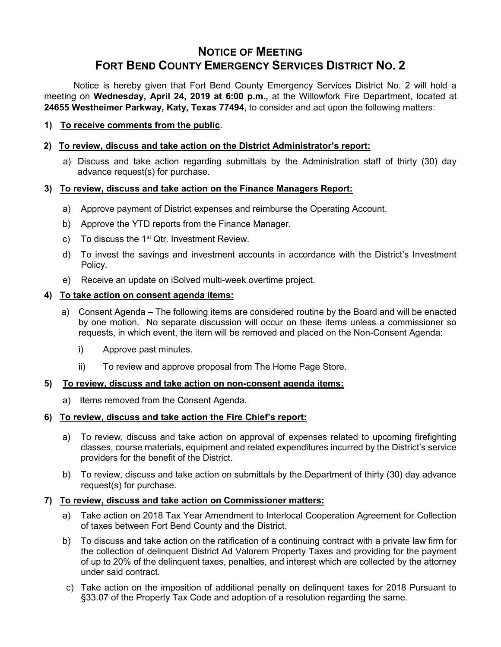# **NOTICE OF MEETING FORT BEND COUNTY EMERGENCY SERVICES DISTRICT NO. 2**

Notice is hereby given that Fort Bend County Emergency Services District No. 2 will hold a meeting on **Wednesday, April 24, 2019 at 6:00 p.m.,** at the Willowfork Fire Department, located at **24655 Westheimer Parkway, Katy, Texas 77494**, to consider and act upon the following matters:

**1) To receive comments from the public**.

### **2) To review, discuss and take action on the District Administrator's report:**

a) Discuss and take action regarding submittals by the Administration staff of thirty (30) day advance request(s) for purchase.

#### **3) To review, discuss and take action on the Finance Managers Report:**

- a) Approve payment of District expenses and reimburse the Operating Account.
- b) Approve the YTD reports from the Finance Manager.
- c) To discuss the  $1<sup>st</sup>$  Qtr. Investment Review.
- d) To invest the savings and investment accounts in accordance with the District's Investment Policy.
- e) Receive an update on iSolved multi-week overtime project.

#### **4) To take action on consent agenda items:**

- a) Consent Agenda The following items are considered routine by the Board and will be enacted by one motion. No separate discussion will occur on these items unless a commissioner so requests, in which event, the item will be removed and placed on the Non-Consent Agenda:
	- i) Approve past minutes.
	- ii) To review and approve proposal from The Home Page Store.

#### **5) To review, discuss and take action on non-consent agenda items:**

a) Items removed from the Consent Agenda.

## **6) To review, discuss and take action the Fire Chief's report:**

- a) To review, discuss and take action on approval of expenses related to upcoming firefighting classes, course materials, equipment and related expenditures incurred by the District's service providers for the benefit of the District.
- b) To review, discuss and take action on submittals by the Department of thirty (30) day advance request(s) for purchase.

## **7) To review, discuss and take action on Commissioner matters:**

- a) Take action on 2018 Tax Year Amendment to Interlocal Cooperation Agreement for Collection of taxes between Fort Bend County and the District.
- b) To discuss and take action on the ratification of a continuing contract with a private law firm for the collection of delinquent District Ad Valorem Property Taxes and providing for the payment of up to 20% of the delinquent taxes, penalties, and interest which are collected by the attorney under said contract.
- c) Take action on the imposition of additional penalty on delinquent taxes for 2018 Pursuant to §33.07 of the Property Tax Code and adoption of a resolution regarding the same.